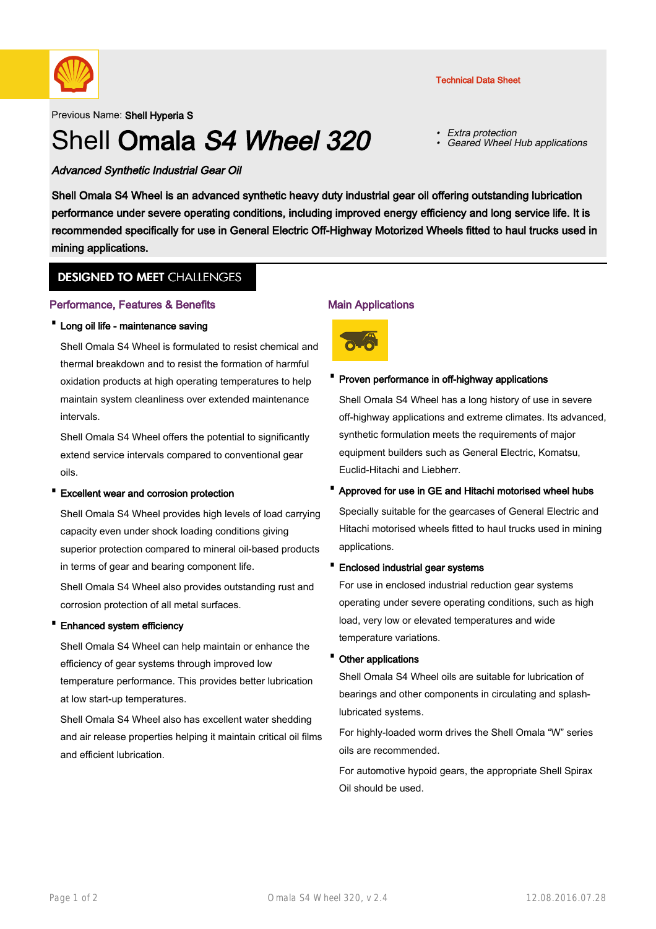

Previous Name: Shell Hyperia S

# Shell Omala S4 Wheel 320

• Extra protection •Geared Wheel Hub applications

Advanced Synthetic Industrial Gear Oil

Shell Omala S4 Wheel is an advanced synthetic heavy duty industrial gear oil offering outstanding lubrication performance under severe operating conditions, including improved energy efficiency and long service life. It is recommended specifically for use in General Electric Off-Highway Motorized Wheels fitted to haul trucks used in mining applications.

# **DESIGNED TO MEET CHALLENGES**

# Performance, Features & Benefits

## · Long oil life - maintenance saving

Shell Omala S4 Wheel is formulated to resist chemical and thermal breakdown and to resist the formation of harmful oxidation products at high operating temperatures to help maintain system cleanliness over extended maintenance intervals.

Shell Omala S4 Wheel offers the potential to significantly extend service intervals compared to conventional gear oils.

## · Excellent wear and corrosion protection

Shell Omala S4 Wheel provides high levels of load carrying capacity even under shock loading conditions giving superior protection compared to mineral oil-based products in terms of gear and bearing component life.

Shell Omala S4 Wheel also provides outstanding rust and corrosion protection of all metal surfaces.

## · Enhanced system efficiency

Shell Omala S4 Wheel can help maintain or enhance the efficiency of gear systems through improved low temperature performance. This provides better lubrication at low start-up temperatures.

Shell Omala S4 Wheel also has excellent water shedding and air release properties helping it maintain critical oil films and efficient lubrication.

## Main Applications



## · Proven performance in off-highway applications

Shell Omala S4 Wheel has a long history of use in severe off-highway applications and extreme climates. Its advanced, synthetic formulation meets the requirements of major equipment builders such as General Electric, Komatsu, Euclid-Hitachi and Liebherr.

## · Approved for use in GE and Hitachi motorised wheel hubs

Specially suitable for the gearcases of General Electric and Hitachi motorised wheels fitted to haul trucks used in mining applications.

#### · Enclosed industrial gear systems

For use in enclosed industrial reduction gear systems operating under severe operating conditions, such as high load, very low or elevated temperatures and wide temperature variations.

#### · Other applications

Shell Omala S4 Wheel oils are suitable for lubrication of bearings and other components in circulating and splashlubricated systems.

For highly-loaded worm drives the Shell Omala "W" series oils are recommended.

For automotive hypoid gears, the appropriate Shell Spirax Oil should be used.